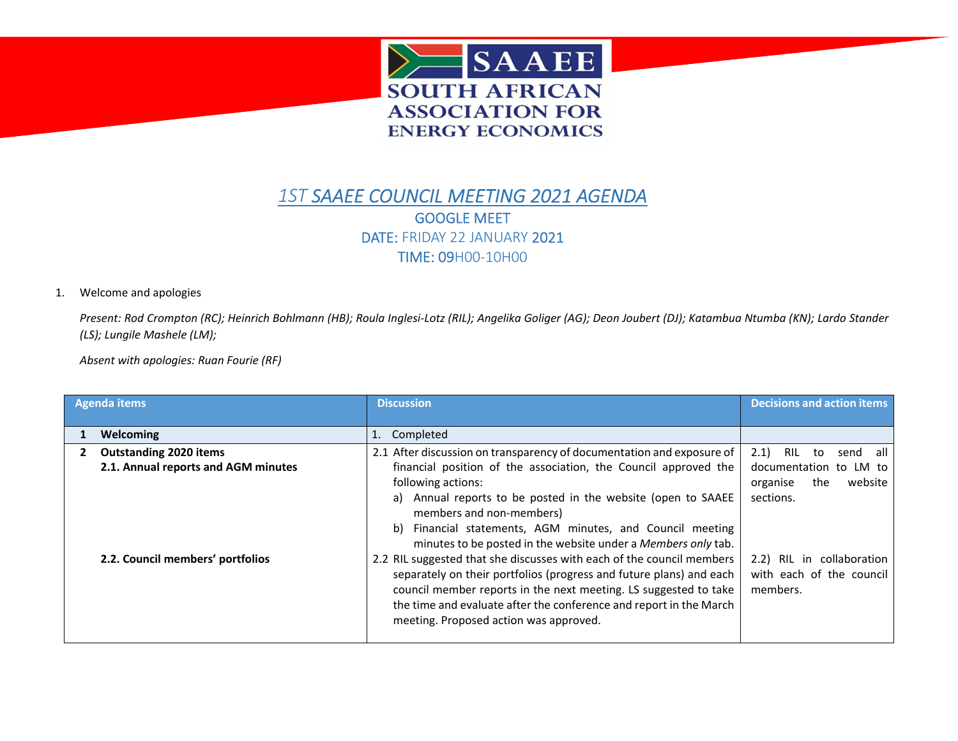

## *1ST SAAEE COUNCIL MEETING 2021 AGENDA* GOOGLE MEET DATE: FRIDAY 22 JANUARY 2021 TIME: 09H00-10H00

## 1. Welcome and apologies

Present: Rod Crompton (RC); Heinrich Bohlmann (HB); Roula Inglesi-Lotz (RIL); Angelika Goliger (AG); Deon Joubert (DJ); Katambua Ntumba (KN); Lardo Stander *(LS); Lungile Mashele (LM);*

*Absent with apologies: Ruan Fourie (RF)*

| <b>Agenda items</b>                 | <b>Discussion</b>                                                                                                                                                                                                                                                                                                                | <b>Decisions and action items</b>                                 |
|-------------------------------------|----------------------------------------------------------------------------------------------------------------------------------------------------------------------------------------------------------------------------------------------------------------------------------------------------------------------------------|-------------------------------------------------------------------|
|                                     |                                                                                                                                                                                                                                                                                                                                  |                                                                   |
| Welcoming                           | 1. Completed                                                                                                                                                                                                                                                                                                                     |                                                                   |
| <b>Outstanding 2020 items</b>       | 2.1 After discussion on transparency of documentation and exposure of                                                                                                                                                                                                                                                            | 2.1<br>RIL<br>all<br>to<br>send                                   |
| 2.1. Annual reports and AGM minutes | financial position of the association, the Council approved the                                                                                                                                                                                                                                                                  | documentation to LM to                                            |
|                                     | following actions:                                                                                                                                                                                                                                                                                                               | website<br>the<br>organise                                        |
|                                     | a) Annual reports to be posted in the website (open to SAAEE<br>members and non-members)<br>Financial statements, AGM minutes, and Council meeting<br>b)<br>minutes to be posted in the website under a Members only tab.                                                                                                        | sections.                                                         |
| 2.2. Council members' portfolios    | 2.2 RIL suggested that she discusses with each of the council members<br>separately on their portfolios (progress and future plans) and each<br>council member reports in the next meeting. LS suggested to take<br>the time and evaluate after the conference and report in the March<br>meeting. Proposed action was approved. | 2.2) RIL in collaboration<br>with each of the council<br>members. |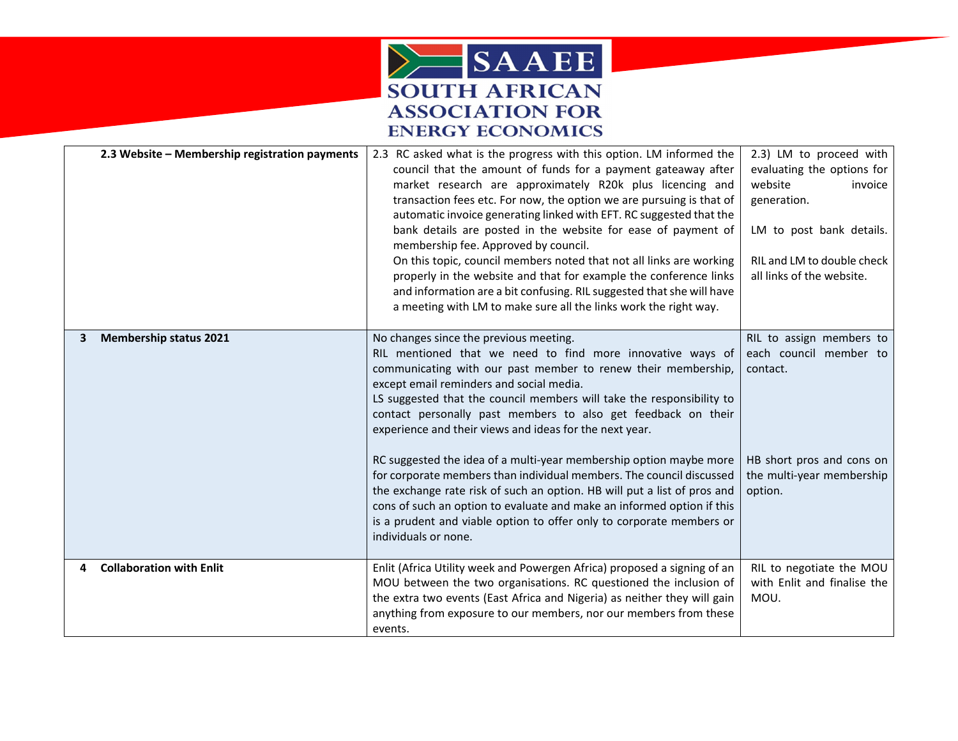

| 2.3 Website - Membership registration payments | 2.3 RC asked what is the progress with this option. LM informed the<br>council that the amount of funds for a payment gateaway after<br>market research are approximately R20k plus licencing and<br>transaction fees etc. For now, the option we are pursuing is that of<br>automatic invoice generating linked with EFT. RC suggested that the<br>bank details are posted in the website for ease of payment of<br>membership fee. Approved by council.<br>On this topic, council members noted that not all links are working<br>properly in the website and that for example the conference links<br>and information are a bit confusing. RIL suggested that she will have<br>a meeting with LM to make sure all the links work the right way. | 2.3) LM to proceed with<br>evaluating the options for<br>website<br>invoice<br>generation.<br>LM to post bank details.<br>RIL and LM to double check<br>all links of the website. |
|------------------------------------------------|----------------------------------------------------------------------------------------------------------------------------------------------------------------------------------------------------------------------------------------------------------------------------------------------------------------------------------------------------------------------------------------------------------------------------------------------------------------------------------------------------------------------------------------------------------------------------------------------------------------------------------------------------------------------------------------------------------------------------------------------------|-----------------------------------------------------------------------------------------------------------------------------------------------------------------------------------|
| <b>Membership status 2021</b><br>3             | No changes since the previous meeting.<br>RIL mentioned that we need to find more innovative ways of<br>communicating with our past member to renew their membership,<br>except email reminders and social media.<br>LS suggested that the council members will take the responsibility to<br>contact personally past members to also get feedback on their<br>experience and their views and ideas for the next year.                                                                                                                                                                                                                                                                                                                             | RIL to assign members to<br>each council member to<br>contact.                                                                                                                    |
|                                                | RC suggested the idea of a multi-year membership option maybe more<br>for corporate members than individual members. The council discussed<br>the exchange rate risk of such an option. HB will put a list of pros and<br>cons of such an option to evaluate and make an informed option if this<br>is a prudent and viable option to offer only to corporate members or<br>individuals or none.                                                                                                                                                                                                                                                                                                                                                   | HB short pros and cons on<br>the multi-year membership<br>option.                                                                                                                 |
| <b>Collaboration with Enlit</b><br>4           | Enlit (Africa Utility week and Powergen Africa) proposed a signing of an<br>MOU between the two organisations. RC questioned the inclusion of<br>the extra two events (East Africa and Nigeria) as neither they will gain<br>anything from exposure to our members, nor our members from these<br>events.                                                                                                                                                                                                                                                                                                                                                                                                                                          | RIL to negotiate the MOU<br>with Enlit and finalise the<br>MOU.                                                                                                                   |